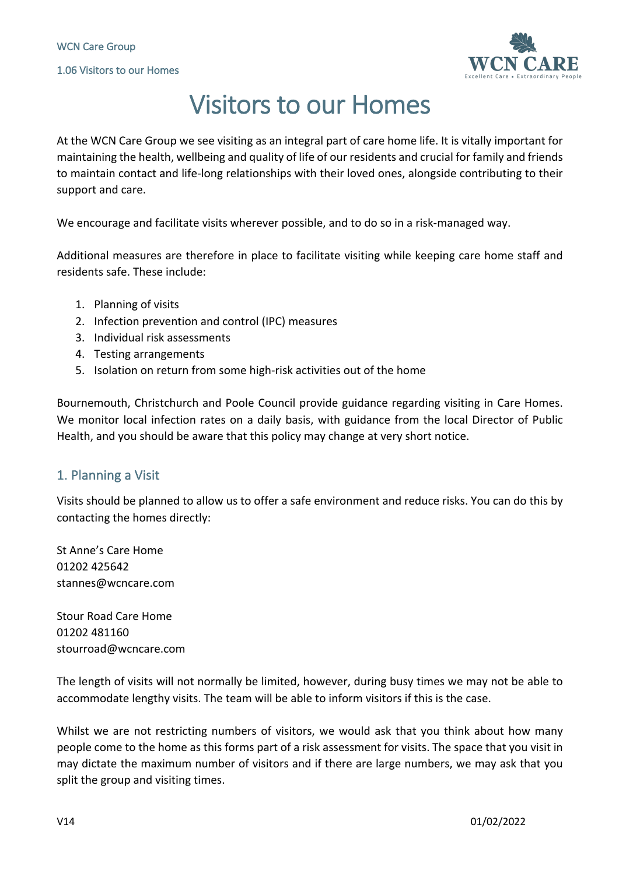

# Visitors to our Homes

At the WCN Care Group we see visiting as an integral part of care home life. It is vitally important for maintaining the health, wellbeing and quality of life of our residents and crucial for family and friends to maintain contact and life-long relationships with their loved ones, alongside contributing to their support and care.

We encourage and facilitate visits wherever possible, and to do so in a risk-managed way.

Additional measures are therefore in place to facilitate visiting while keeping care home staff and residents safe. These include:

- 1. Planning of visits
- 2. Infection prevention and control (IPC) measures
- 3. Individual risk assessments
- 4. Testing arrangements
- 5. Isolation on return from some high-risk activities out of the home

Bournemouth, Christchurch and Poole Council provide guidance regarding visiting in Care Homes. We monitor local infection rates on a daily basis, with guidance from the local Director of Public Health, and you should be aware that this policy may change at very short notice.

# 1. Planning a Visit

Visits should be planned to allow us to offer a safe environment and reduce risks. You can do this by contacting the homes directly:

St Anne's Care Home 01202 425642 stannes@wcncare.com

Stour Road Care Home 01202 481160 stourroad@wcncare.com

The length of visits will not normally be limited, however, during busy times we may not be able to accommodate lengthy visits. The team will be able to inform visitors if this is the case.

Whilst we are not restricting numbers of visitors, we would ask that you think about how many people come to the home as this forms part of a risk assessment for visits. The space that you visit in may dictate the maximum number of visitors and if there are large numbers, we may ask that you split the group and visiting times.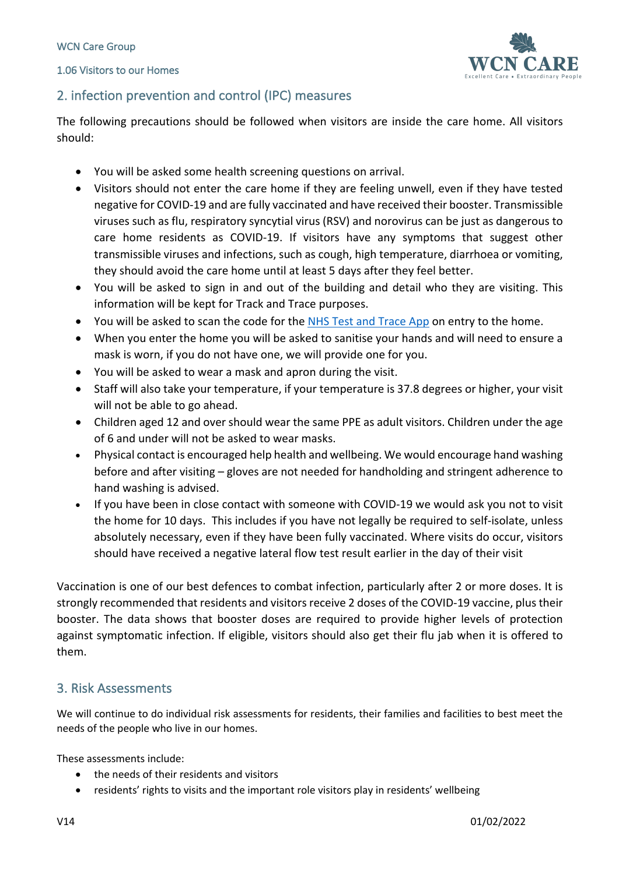1.06 Visitors to our Homes



# 2. infection prevention and control (IPC) measures

The following precautions should be followed when visitors are inside the care home. All visitors should:

- You will be asked some health screening questions on arrival.
- Visitors should not enter the care home if they are feeling unwell, even if they have tested negative for COVID-19 and are fully vaccinated and have received their booster. Transmissible viruses such as flu, respiratory syncytial virus (RSV) and norovirus can be just as dangerous to care home residents as COVID-19. If visitors have any symptoms that suggest other transmissible viruses and infections, such as cough, high temperature, diarrhoea or vomiting, they should avoid the care home until at least 5 days after they feel better.
- You will be asked to sign in and out of the building and detail who they are visiting. This information will be kept for Track and Trace purposes.
- You will be asked to scan the code for the NHS Test and Trace App on entry to the home.
- When you enter the home you will be asked to sanitise your hands and will need to ensure a mask is worn, if you do not have one, we will provide one for you.
- You will be asked to wear a mask and apron during the visit.
- Staff will also take your temperature, if your temperature is 37.8 degrees or higher, your visit will not be able to go ahead.
- Children aged 12 and over should wear the same PPE as adult visitors. Children under the age of 6 and under will not be asked to wear masks.
- Physical contact is encouraged help health and wellbeing. We would encourage hand washing before and after visiting – gloves are not needed for handholding and stringent adherence to hand washing is advised.
- If you have been in close contact with someone with COVID-19 we would ask you not to visit the home for 10 days. This includes if you have not legally be required to self-isolate, unless absolutely necessary, even if they have been fully vaccinated. Where visits do occur, visitors should have received a negative lateral flow test result earlier in the day of their visit

Vaccination is one of our best defences to combat infection, particularly after 2 or more doses. It is strongly recommended that residents and visitors receive 2 doses of the COVID-19 vaccine, plus their booster. The data shows that booster doses are required to provide higher levels of protection against symptomatic infection. If eligible, visitors should also get their flu jab when it is offered to them.

#### 3. Risk Assessments

We will continue to do individual risk assessments for residents, their families and facilities to best meet the needs of the people who live in our homes.

These assessments include:

- the needs of their residents and visitors
- residents' rights to visits and the important role visitors play in residents' wellbeing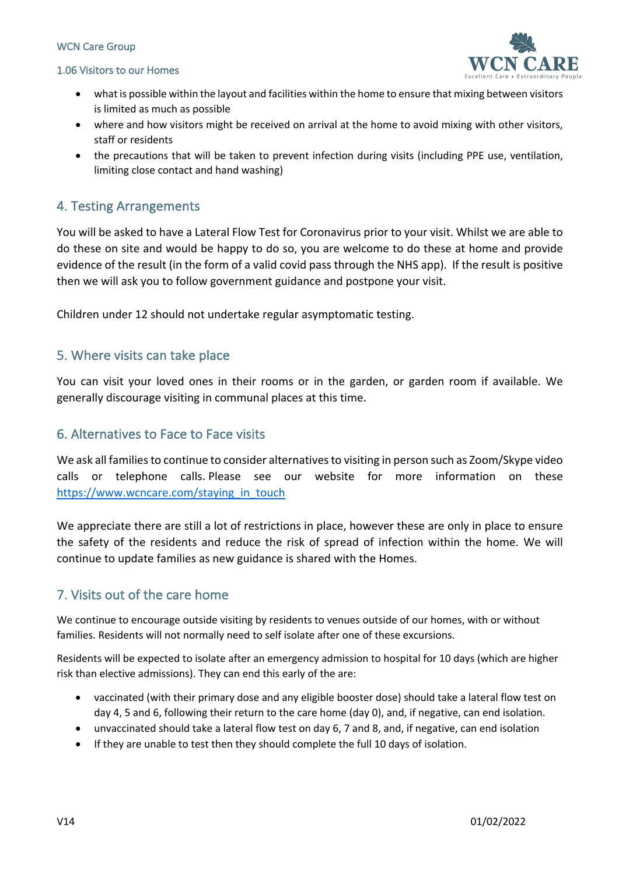#### WCN Care Group

#### 1.06 Visitors to our Homes



- what is possible within the layout and facilities within the home to ensure that mixing between visitors is limited as much as possible
- where and how visitors might be received on arrival at the home to avoid mixing with other visitors, staff or residents
- the precautions that will be taken to prevent infection during visits (including PPE use, ventilation, limiting close contact and hand washing)

#### 4. Testing Arrangements

You will be asked to have a Lateral Flow Test for Coronavirus prior to your visit. Whilst we are able to do these on site and would be happy to do so, you are welcome to do these at home and provide evidence of the result (in the form of a valid covid pass through the NHS app). If the result is positive then we will ask you to follow government guidance and postpone your visit.

Children under 12 should not undertake regular asymptomatic testing.

#### 5. Where visits can take place

You can visit your loved ones in their rooms or in the garden, or garden room if available. We generally discourage visiting in communal places at this time.

#### 6. Alternatives to Face to Face visits

We ask all families to continue to consider alternatives to visiting in person such as Zoom/Skype video calls or telephone calls. Please see our website for more information on these https://www.wcncare.com/staying\_in\_touch

We appreciate there are still a lot of restrictions in place, however these are only in place to ensure the safety of the residents and reduce the risk of spread of infection within the home. We will continue to update families as new guidance is shared with the Homes.

# 7. Visits out of the care home

We continue to encourage outside visiting by residents to venues outside of our homes, with or without families. Residents will not normally need to self isolate after one of these excursions.

Residents will be expected to isolate after an emergency admission to hospital for 10 days (which are higher risk than elective admissions). They can end this early of the are:

- vaccinated (with their primary dose and any eligible booster dose) should take a lateral flow test on day 4, 5 and 6, following their return to the care home (day 0), and, if negative, can end isolation.
- unvaccinated should take a lateral flow test on day 6, 7 and 8, and, if negative, can end isolation
- If they are unable to test then they should complete the full 10 days of isolation.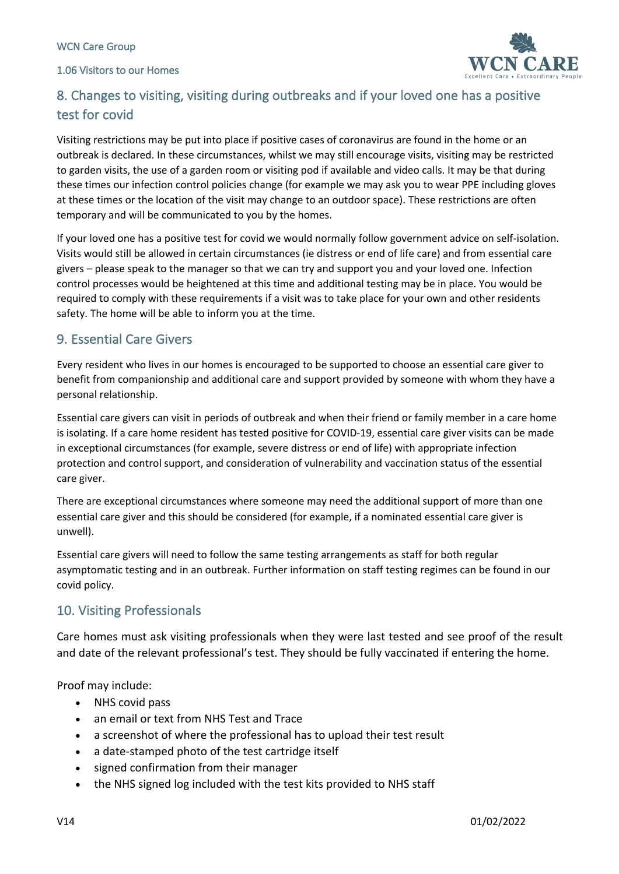1.06 Visitors to our Homes



# 8. Changes to visiting, visiting during outbreaks and if your loved one has a positive test for covid

Visiting restrictions may be put into place if positive cases of coronavirus are found in the home or an outbreak is declared. In these circumstances, whilst we may still encourage visits, visiting may be restricted to garden visits, the use of a garden room or visiting pod if available and video calls. It may be that during these times our infection control policies change (for example we may ask you to wear PPE including gloves at these times or the location of the visit may change to an outdoor space). These restrictions are often temporary and will be communicated to you by the homes.

If your loved one has a positive test for covid we would normally follow government advice on self-isolation. Visits would still be allowed in certain circumstances (ie distress or end of life care) and from essential care givers – please speak to the manager so that we can try and support you and your loved one. Infection control processes would be heightened at this time and additional testing may be in place. You would be required to comply with these requirements if a visit was to take place for your own and other residents safety. The home will be able to inform you at the time.

# 9. Essential Care Givers

Every resident who lives in our homes is encouraged to be supported to choose an essential care giver to benefit from companionship and additional care and support provided by someone with whom they have a personal relationship.

Essential care givers can visit in periods of outbreak and when their friend or family member in a care home is isolating. If a care home resident has tested positive for COVID-19, essential care giver visits can be made in exceptional circumstances (for example, severe distress or end of life) with appropriate infection protection and control support, and consideration of vulnerability and vaccination status of the essential care giver.

There are exceptional circumstances where someone may need the additional support of more than one essential care giver and this should be considered (for example, if a nominated essential care giver is unwell).

Essential care givers will need to follow the same testing arrangements as staff for both regular asymptomatic testing and in an outbreak. Further information on staff testing regimes can be found in our covid policy.

# 10. Visiting Professionals

Care homes must ask visiting professionals when they were last tested and see proof of the result and date of the relevant professional's test. They should be fully vaccinated if entering the home.

Proof may include:

- NHS covid pass
- an email or text from NHS Test and Trace
- a screenshot of where the professional has to upload their test result
- a date-stamped photo of the test cartridge itself
- signed confirmation from their manager
- the NHS signed log included with the test kits provided to NHS staff